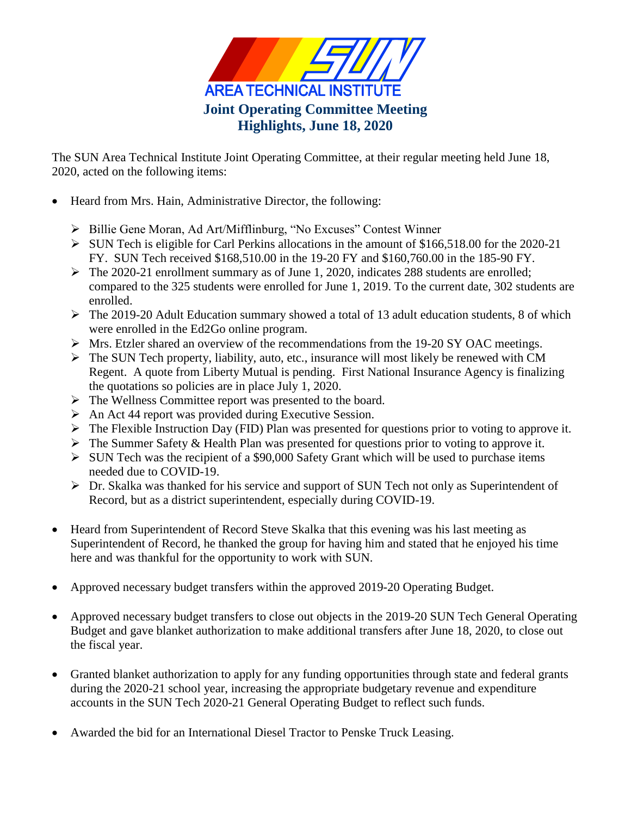

The SUN Area Technical Institute Joint Operating Committee, at their regular meeting held June 18, 2020, acted on the following items:

- Heard from Mrs. Hain, Administrative Director, the following:
	- Billie Gene Moran, Ad Art/Mifflinburg, "No Excuses" Contest Winner
	- $\triangleright$  SUN Tech is eligible for Carl Perkins allocations in the amount of \$166,518.00 for the 2020-21 FY. SUN Tech received \$168,510.00 in the 19-20 FY and \$160,760.00 in the 185-90 FY.
	- $\triangleright$  The 2020-21 enrollment summary as of June 1, 2020, indicates 288 students are enrolled; compared to the 325 students were enrolled for June 1, 2019. To the current date, 302 students are enrolled.
	- $\triangleright$  The 2019-20 Adult Education summary showed a total of 13 adult education students, 8 of which were enrolled in the Ed2Go online program.
	- Mrs. Etzler shared an overview of the recommendations from the 19-20 SY OAC meetings.
	- $\triangleright$  The SUN Tech property, liability, auto, etc., insurance will most likely be renewed with CM Regent. A quote from Liberty Mutual is pending. First National Insurance Agency is finalizing the quotations so policies are in place July 1, 2020.
	- $\triangleright$  The Wellness Committee report was presented to the board.
	- $\triangleright$  An Act 44 report was provided during Executive Session.
	- $\triangleright$  The Flexible Instruction Day (FID) Plan was presented for questions prior to voting to approve it.
	- $\triangleright$  The Summer Safety & Health Plan was presented for questions prior to voting to approve it.
	- $\triangleright$  SUN Tech was the recipient of a \$90,000 Safety Grant which will be used to purchase items needed due to COVID-19.
	- Dr. Skalka was thanked for his service and support of SUN Tech not only as Superintendent of Record, but as a district superintendent, especially during COVID-19.
- Heard from Superintendent of Record Steve Skalka that this evening was his last meeting as Superintendent of Record, he thanked the group for having him and stated that he enjoyed his time here and was thankful for the opportunity to work with SUN.
- Approved necessary budget transfers within the approved 2019-20 Operating Budget.
- Approved necessary budget transfers to close out objects in the 2019-20 SUN Tech General Operating Budget and gave blanket authorization to make additional transfers after June 18, 2020, to close out the fiscal year.
- Granted blanket authorization to apply for any funding opportunities through state and federal grants during the 2020-21 school year, increasing the appropriate budgetary revenue and expenditure accounts in the SUN Tech 2020-21 General Operating Budget to reflect such funds.
- Awarded the bid for an International Diesel Tractor to Penske Truck Leasing.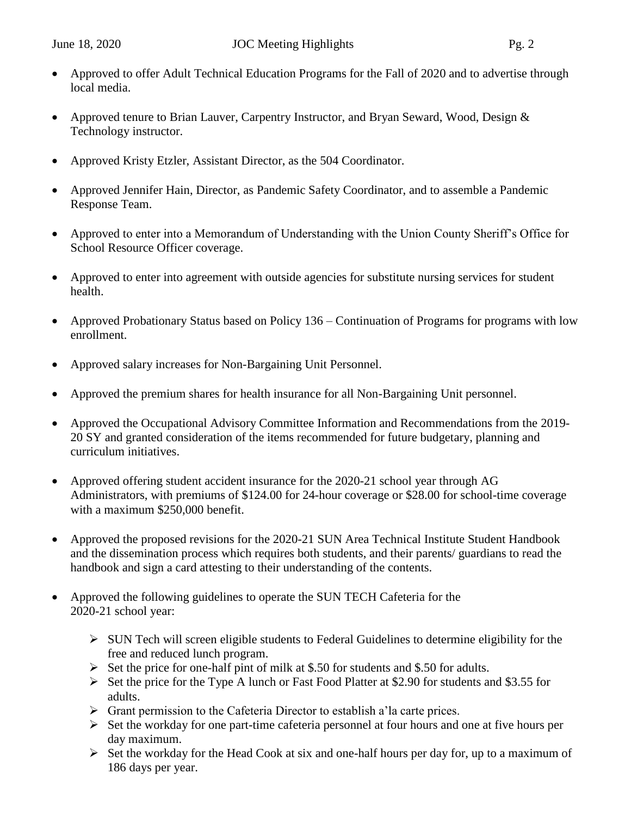- Approved to offer Adult Technical Education Programs for the Fall of 2020 and to advertise through local media.
- Approved tenure to Brian Lauver, Carpentry Instructor, and Bryan Seward, Wood, Design & Technology instructor.
- Approved Kristy Etzler, Assistant Director, as the 504 Coordinator.
- Approved Jennifer Hain, Director, as Pandemic Safety Coordinator, and to assemble a Pandemic Response Team.
- Approved to enter into a Memorandum of Understanding with the Union County Sheriff's Office for School Resource Officer coverage.
- Approved to enter into agreement with outside agencies for substitute nursing services for student health.
- Approved Probationary Status based on Policy 136 Continuation of Programs for programs with low enrollment.
- Approved salary increases for Non-Bargaining Unit Personnel.
- Approved the premium shares for health insurance for all Non-Bargaining Unit personnel.
- Approved the Occupational Advisory Committee Information and Recommendations from the 2019- 20 SY and granted consideration of the items recommended for future budgetary, planning and curriculum initiatives.
- Approved offering student accident insurance for the 2020-21 school year through AG Administrators, with premiums of \$124.00 for 24-hour coverage or \$28.00 for school-time coverage with a maximum \$250,000 benefit.
- Approved the proposed revisions for the 2020-21 SUN Area Technical Institute Student Handbook and the dissemination process which requires both students, and their parents/ guardians to read the handbook and sign a card attesting to their understanding of the contents.
- Approved the following guidelines to operate the SUN TECH Cafeteria for the 2020-21 school year:
	- $\triangleright$  SUN Tech will screen eligible students to Federal Guidelines to determine eligibility for the free and reduced lunch program.
	- $\triangleright$  Set the price for one-half pint of milk at \$.50 for students and \$.50 for adults.
	- $\triangleright$  Set the price for the Type A lunch or Fast Food Platter at \$2.90 for students and \$3.55 for adults.
	- $\triangleright$  Grant permission to the Cafeteria Director to establish a'la carte prices.
	- $\triangleright$  Set the workday for one part-time cafeteria personnel at four hours and one at five hours per day maximum.
	- $\triangleright$  Set the workday for the Head Cook at six and one-half hours per day for, up to a maximum of 186 days per year.